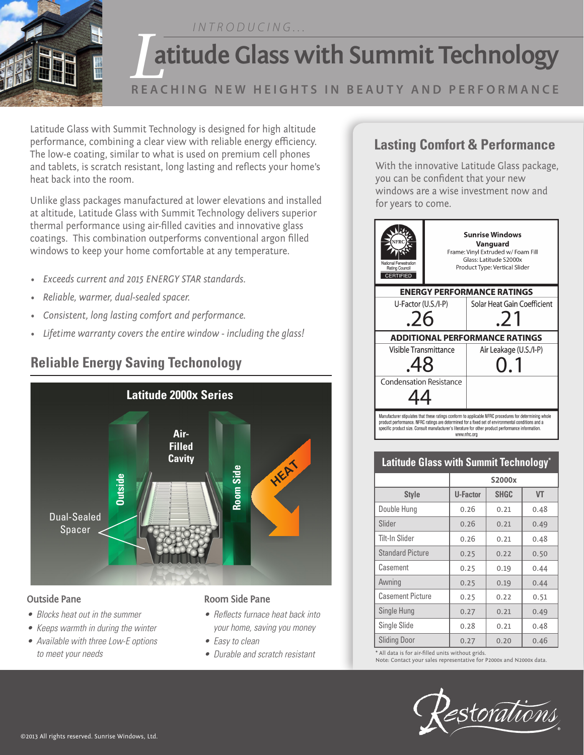*INTRODUCING...*



### **REACHING NEW HEIGHTS IN BEAUTY AND PERFORMANCE**

Latitude Glass with Summit Technology is designed for high altitude performance, combining a clear view with reliable energy efficiency. The low-e coating, similar to what is used on premium cell phones and tablets, is scratch resistant, long lasting and reflects your home's heat back into the room.

Unlike glass packages manufactured at lower elevations and installed at altitude, Latitude Glass with Summit Technology delivers superior thermal performance using air-filled cavities and innovative glass coatings. This combination outperforms conventional argon filled windows to keep your home comfortable at any temperature.

- *• Exceeds current and 2015 ENERGY STAR standards.*
- *• Reliable, warmer, dual-sealed spacer.*
- *• Consistent, long lasting comfort and performance.*
- *• Lifetime warranty covers the entire window - including the glass!*

# **Reliable Energy Saving Techonology**



#### **Outside Pane**

- Blocks heat out in the summer
- Keeps warmth in during the winter
- Available with three Low-E options to meet your needs

### **Room Side Pane**

- Reflects furnace heat back into your home, saving you money
- Easy to clean
- Durable and scratch resistant

## **Lasting Comfort & Performance**

With the innovative Latitude Glass package, you can be confident that your new windows are a wise investment now and for years to come.



### **Latitude Glass with Summit Technology\***

|                         | S2000x   |             |           |
|-------------------------|----------|-------------|-----------|
| <b>Style</b>            | U-Factor | <b>SHGC</b> | <b>VT</b> |
| Double Hung             | 0.26     | 0.21        | 0.48      |
| Slider                  | 0.26     | 0.21        | 0.49      |
| Tilt-In Slider          | 0.26     | 0.21        | 0.48      |
| Standard Picture        | 0.25     | 0.22        | 0.50      |
| Casement                | 0.25     | 0.19        | 0.44      |
| Awning                  | 0.25     | 0.19        | 0.44      |
| <b>Casement Picture</b> | 0.25     | 0.22        | 0.51      |
| Single Hung             | 0.27     | 0.21        | 0.49      |
| Single Slide            | 0.28     | 0.21        | 0.48      |
| <b>Sliding Door</b>     | 0.27     | 0.20        | 0.46      |

\* All data is for air-filled units without grids. Note: Contact your sales representative for P2000x and N2000x data.